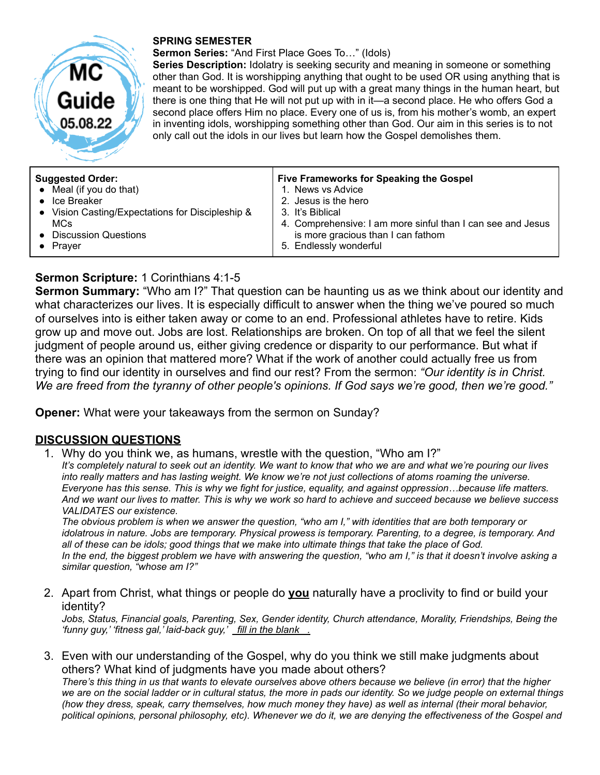

#### **SPRING SEMESTER**

**Sermon Series:** "And First Place Goes To…" (Idols)

**Series Description:** Idolatry is seeking security and meaning in someone or something other than God. It is worshipping anything that ought to be used OR using anything that is meant to be worshipped. God will put up with a great many things in the human heart, but there is one thing that He will not put up with in it—a second place. He who offers God a second place offers Him no place. Every one of us is, from his mother's womb, an expert in inventing idols, worshipping something other than God. Our aim in this series is to not only call out the idols in our lives but learn how the Gospel demolishes them.

| <b>Suggested Order:</b>                          | Five Frameworks for Speaking the Gospel                     |
|--------------------------------------------------|-------------------------------------------------------------|
| $\bullet$ Meal (if you do that)                  | 1. News vs Advice                                           |
| $\bullet$ Ice Breaker                            | 2. Jesus is the hero                                        |
| • Vision Casting/Expectations for Discipleship & | 3. It's Biblical                                            |
| MCs                                              | 4. Comprehensive: I am more sinful than I can see and Jesus |
| • Discussion Questions                           | is more gracious than I can fathom                          |
| Praver                                           | 5. Endlessly wonderful                                      |

# **Sermon Scripture:** 1 Corinthians 4:1-5

**Sermon Summary:** "Who am I?" That question can be haunting us as we think about our identity and what characterizes our lives. It is especially difficult to answer when the thing we've poured so much of ourselves into is either taken away or come to an end. Professional athletes have to retire. Kids grow up and move out. Jobs are lost. Relationships are broken. On top of all that we feel the silent judgment of people around us, either giving credence or disparity to our performance. But what if there was an opinion that mattered more? What if the work of another could actually free us from trying to find our identity in ourselves and find our rest? From the sermon: *"Our identity is in Christ. We are freed from the tyranny of other people's opinions. If God says we're good, then we're good."*

**Opener:** What were your takeaways from the sermon on Sunday?

## **DISCUSSION QUESTIONS**

1. Why do you think we, as humans, wrestle with the question, "Who am I?"

It's completely natural to seek out an identity. We want to know that who we are and what we're pouring our lives into really matters and has lasting weight. We know we're not just collections of atoms roaming the universe. Everyone has this sense. This is why we fight for justice, equality, and against oppression...because life matters. And we want our lives to matter. This is why we work so hard to achieve and succeed because we believe success *VALIDATES our existence.*

The obvious problem is when we answer the question, "who am I," with identities that are both temporary or idolatrous in nature. Jobs are temporary. Physical prowess is temporary. Parenting, to a degree, is temporary. And all of these can be idols; good things that we make into ultimate things that take the place of God. In the end, the biggest problem we have with answering the question, "who am I," is that it doesn't involve asking a *similar question, "whose am I?"*

2. Apart from Christ, what things or people do **you** naturally have a proclivity to find or build your identity?

*Jobs, Status, Financial goals, Parenting, Sex, Gender identity, Church attendance, Morality, Friendships, Being the 'funny guy,' 'fitness gal,' laid-back guy,' fill in the blank .*

3. Even with our understanding of the Gospel, why do you think we still make judgments about others? What kind of judgments have you made about others? There's this thing in us that wants to elevate ourselves above others because we believe (in error) that the higher we are on the social ladder or in cultural status, the more in pads our identity. So we judge people on external things

(how they dress, speak, carry themselves, how much money they have) as well as internal (their moral behavior, political opinions, personal philosophy, etc). Whenever we do it, we are denying the effectiveness of the Gospel and